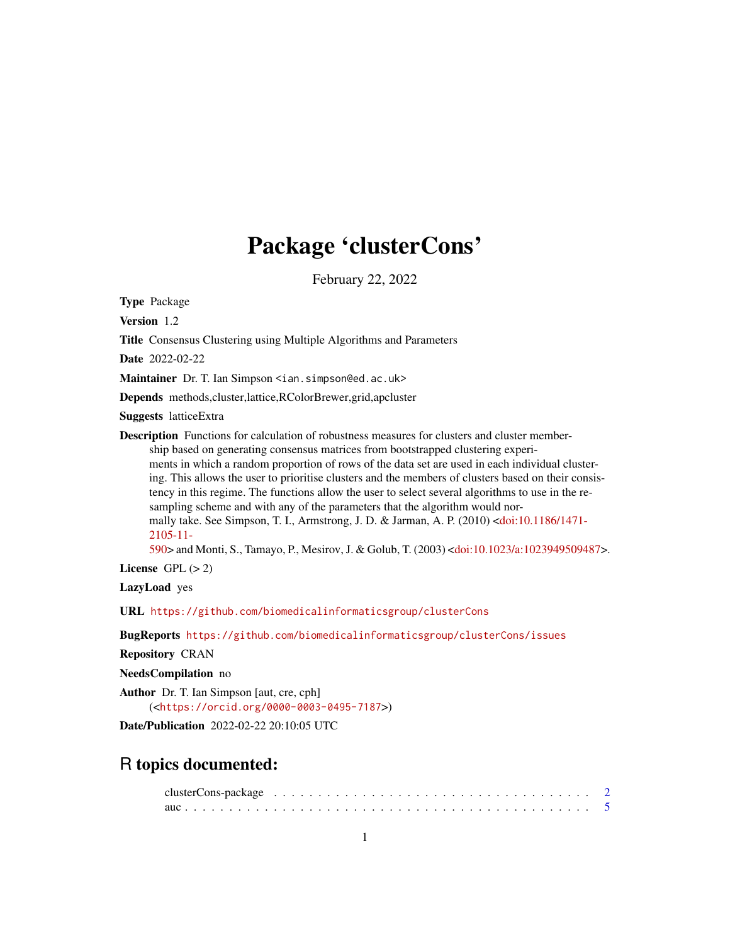# Package 'clusterCons'

February 22, 2022

<span id="page-0-0"></span>Type Package

Version 1.2

Title Consensus Clustering using Multiple Algorithms and Parameters

Date 2022-02-22

Maintainer Dr. T. Ian Simpson <ian.simpson@ed.ac.uk>

Depends methods,cluster,lattice,RColorBrewer,grid,apcluster

Suggests latticeExtra

**Description** Functions for calculation of robustness measures for clusters and cluster membership based on generating consensus matrices from bootstrapped clustering experiments in which a random proportion of rows of the data set are used in each individual clustering. This allows the user to prioritise clusters and the members of clusters based on their consistency in this regime. The functions allow the user to select several algorithms to use in the resampling scheme and with any of the parameters that the algorithm would normally take. See Simpson, T. I., Armstrong, J. D. & Jarman, A. P. (2010) [<doi:10.1186/1471-](https://doi.org/10.1186/1471-2105-11-590) [2105-11-](https://doi.org/10.1186/1471-2105-11-590)

[590>](https://doi.org/10.1186/1471-2105-11-590) and Monti, S., Tamayo, P., Mesirov, J. & Golub, T. (2003) [<doi:10.1023/a:1023949509487>](https://doi.org/10.1023/a:1023949509487).

License GPL  $(> 2)$ 

LazyLoad yes

URL <https://github.com/biomedicalinformaticsgroup/clusterCons>

BugReports <https://github.com/biomedicalinformaticsgroup/clusterCons/issues>

Repository CRAN

NeedsCompilation no

Author Dr. T. Ian Simpson [aut, cre, cph] (<<https://orcid.org/0000-0003-0495-7187>>)

Date/Publication 2022-02-22 20:10:05 UTC

# R topics documented: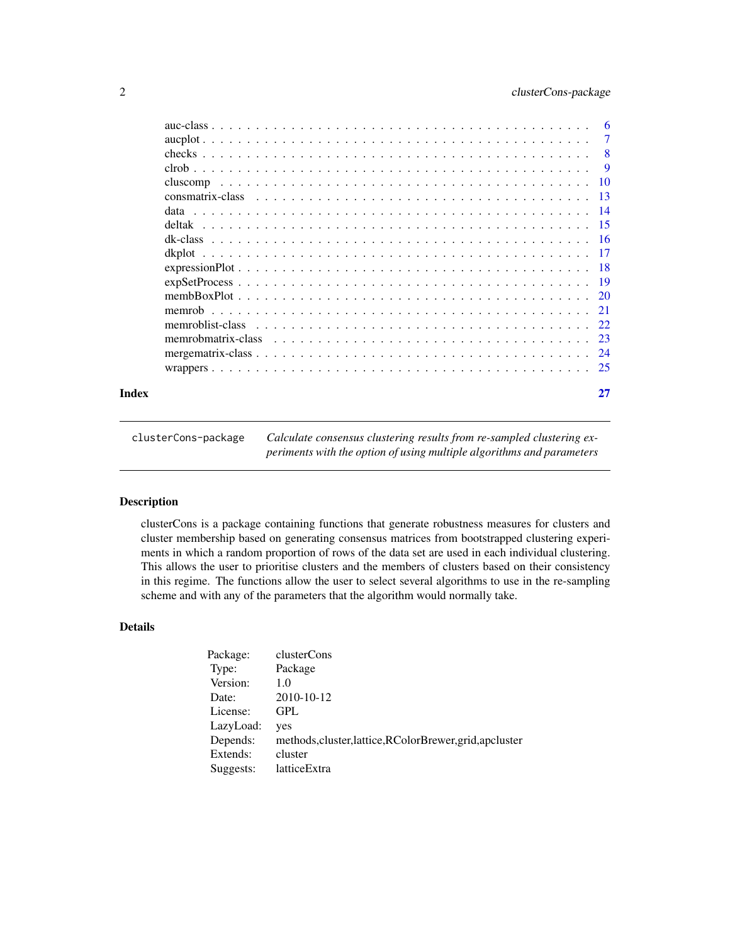<span id="page-1-0"></span>

|       |                                                                                                               | $\overline{7}$            |
|-------|---------------------------------------------------------------------------------------------------------------|---------------------------|
|       |                                                                                                               | $\overline{\phantom{0}}8$ |
|       |                                                                                                               |                           |
|       |                                                                                                               |                           |
|       |                                                                                                               |                           |
|       |                                                                                                               |                           |
|       |                                                                                                               |                           |
|       |                                                                                                               |                           |
|       |                                                                                                               |                           |
|       |                                                                                                               |                           |
|       | $expSetProcess \ldots \ldots \ldots \ldots \ldots \ldots \ldots \ldots \ldots \ldots \ldots \ldots \ldots 19$ |                           |
|       |                                                                                                               |                           |
|       |                                                                                                               |                           |
|       |                                                                                                               |                           |
|       |                                                                                                               |                           |
|       |                                                                                                               |                           |
|       |                                                                                                               |                           |
| Index |                                                                                                               | 27                        |

| clusterCons-package | Calculate consensus clustering results from re-sampled clustering ex- |
|---------------------|-----------------------------------------------------------------------|
|                     | periments with the option of using multiple algorithms and parameters |

clusterCons is a package containing functions that generate robustness measures for clusters and cluster membership based on generating consensus matrices from bootstrapped clustering experiments in which a random proportion of rows of the data set are used in each individual clustering. This allows the user to prioritise clusters and the members of clusters based on their consistency in this regime. The functions allow the user to select several algorithms to use in the re-sampling scheme and with any of the parameters that the algorithm would normally take.

# Details

| Package:  | clusterCons                                              |
|-----------|----------------------------------------------------------|
| Type:     | Package                                                  |
| Version:  | 1.0                                                      |
| Date:     | 2010-10-12                                               |
| License:  | GPL                                                      |
| LazyLoad: | yes                                                      |
| Depends:  | methods, cluster, lattice, RColorBrewer, grid, apcluster |
| Extends:  | cluster                                                  |
| Suggests: | latticeExtra                                             |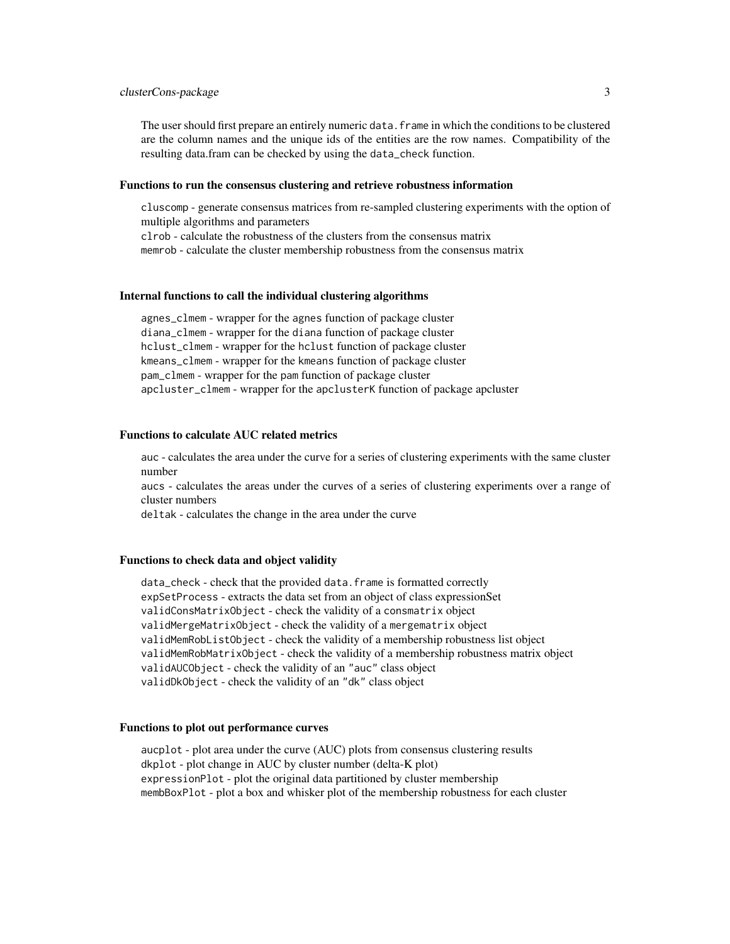# clusterCons-package 3

The user should first prepare an entirely numeric data.frame in which the conditions to be clustered are the column names and the unique ids of the entities are the row names. Compatibility of the resulting data.fram can be checked by using the data\_check function.

#### Functions to run the consensus clustering and retrieve robustness information

cluscomp - generate consensus matrices from re-sampled clustering experiments with the option of multiple algorithms and parameters

clrob - calculate the robustness of the clusters from the consensus matrix

memrob - calculate the cluster membership robustness from the consensus matrix

#### Internal functions to call the individual clustering algorithms

agnes\_clmem - wrapper for the agnes function of package cluster diana\_clmem - wrapper for the diana function of package cluster hclust\_clmem - wrapper for the hclust function of package cluster kmeans\_clmem - wrapper for the kmeans function of package cluster pam\_clmem - wrapper for the pam function of package cluster apcluster\_clmem - wrapper for the apclusterK function of package apcluster

# Functions to calculate AUC related metrics

auc - calculates the area under the curve for a series of clustering experiments with the same cluster number

aucs - calculates the areas under the curves of a series of clustering experiments over a range of cluster numbers

deltak - calculates the change in the area under the curve

# Functions to check data and object validity

data\_check - check that the provided data.frame is formatted correctly expSetProcess - extracts the data set from an object of class expressionSet validConsMatrixObject - check the validity of a consmatrix object validMergeMatrixObject - check the validity of a mergematrix object validMemRobListObject - check the validity of a membership robustness list object validMemRobMatrixObject - check the validity of a membership robustness matrix object validAUCObject - check the validity of an "auc" class object validDkObject - check the validity of an "dk" class object

#### Functions to plot out performance curves

aucplot - plot area under the curve (AUC) plots from consensus clustering results dkplot - plot change in AUC by cluster number (delta-K plot) expressionPlot - plot the original data partitioned by cluster membership membBoxPlot - plot a box and whisker plot of the membership robustness for each cluster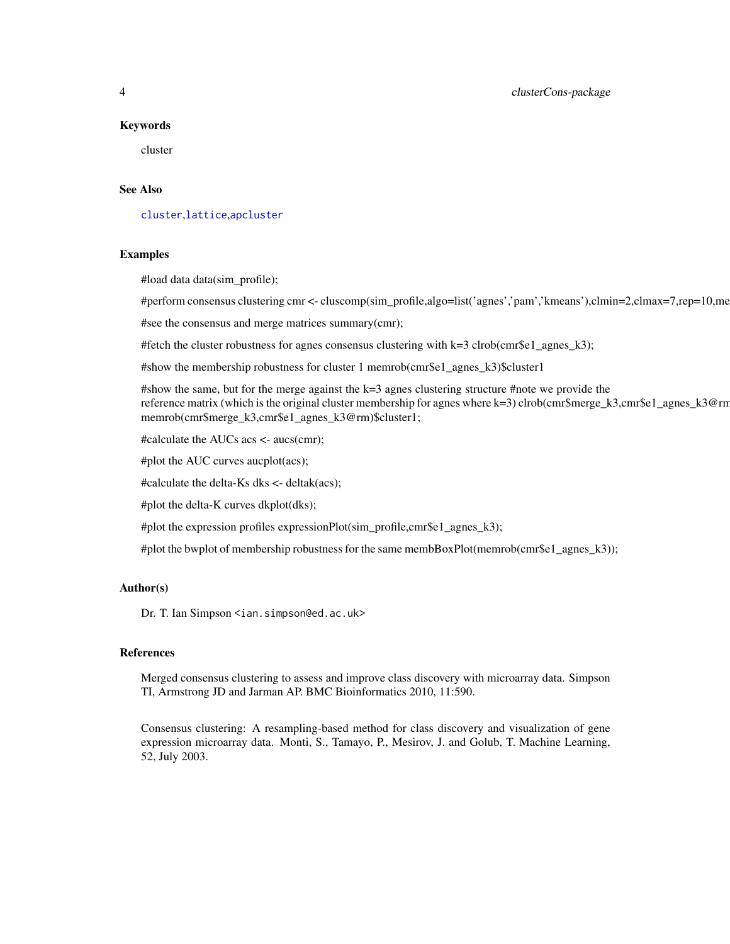# <span id="page-3-0"></span>4 clusterCons-package

#### Keywords

cluster

# See Also

[cluster](#page-0-0),[lattice](#page-0-0),[apcluster](#page-0-0)

#### Examples

#load data data(sim\_profile);

#perform consensus clustering cmr <- cluscomp(sim\_profile,algo=list('agnes','pam','kmeans'),clmin=2,clmax=7,rep=10,me

#see the consensus and merge matrices summary(cmr);

#fetch the cluster robustness for agnes consensus clustering with  $k=3$  clrob(cmr\$e1\_agnes\_k3);

#show the membership robustness for cluster 1 memrob(cmr\$e1\_agnes\_k3)\$cluster1

#show the same, but for the merge against the k=3 agnes clustering structure #note we provide the reference matrix (which is the original cluster membership for agnes where k=3) clrob(cmr\$merge\_k3,cmr\$e1\_agnes\_k3@rm memrob(cmr\$merge\_k3,cmr\$e1\_agnes\_k3@rm)\$cluster1;

#calculate the AUCs acs <- aucs(cmr);

#plot the AUC curves aucplot(acs);

#calculate the delta-Ks dks <- deltak(acs);

#plot the delta-K curves dkplot(dks);

#plot the expression profiles expressionPlot(sim\_profile,cmr\$e1\_agnes\_k3);

#plot the bwplot of membership robustness for the same membBoxPlot(memrob(cmr\$e1\_agnes\_k3));

# Author(s)

Dr. T. Ian Simpson <ian.simpson@ed.ac.uk>

# References

Merged consensus clustering to assess and improve class discovery with microarray data. Simpson TI, Armstrong JD and Jarman AP. BMC Bioinformatics 2010, 11:590.

Consensus clustering: A resampling-based method for class discovery and visualization of gene expression microarray data. Monti, S., Tamayo, P., Mesirov, J. and Golub, T. Machine Learning, 52, July 2003.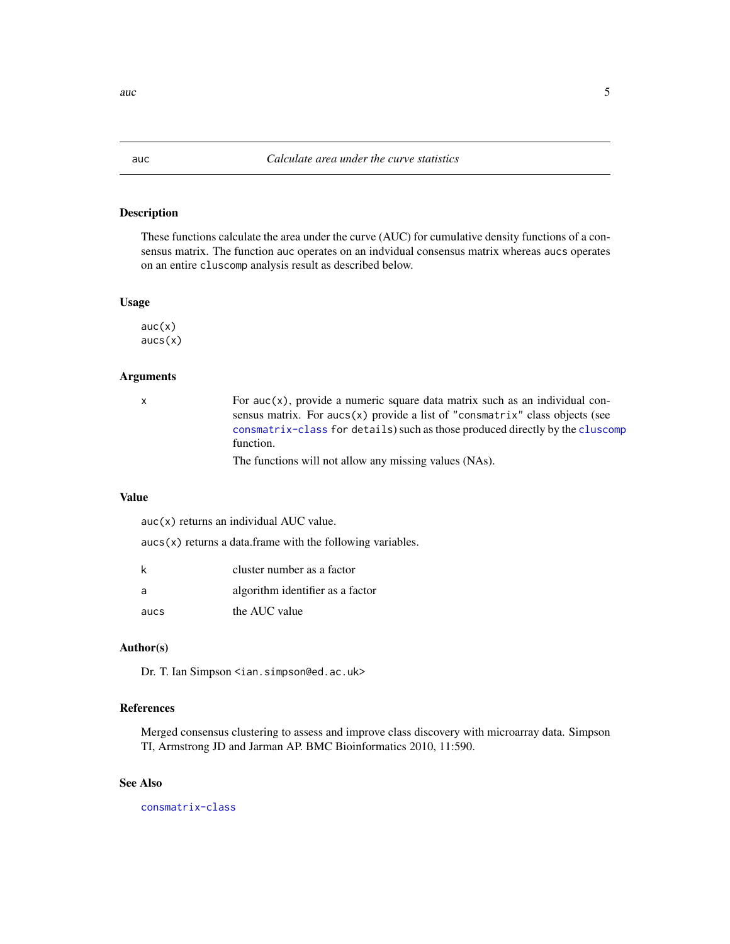These functions calculate the area under the curve (AUC) for cumulative density functions of a consensus matrix. The function auc operates on an indvidual consensus matrix whereas aucs operates on an entire cluscomp analysis result as described below.

#### Usage

 $auc(x)$ aucs(x)

# Arguments

 $x \neq y$  For auc(x), provide a numeric square data matrix such as an individual consensus matrix. For aucs(x) provide a list of "consmatrix" class objects (see [consmatrix-class](#page-12-1) for details) such as those produced directly by the [cluscomp](#page-9-1) function.

The functions will not allow any missing values (NAs).

# Value

auc(x) returns an individual AUC value.

 $aucs(x)$  returns a data.frame with the following variables.

| k    | cluster number as a factor       |
|------|----------------------------------|
| a    | algorithm identifier as a factor |
| aucs | the AUC value                    |

### Author(s)

Dr. T. Ian Simpson <ian.simpson@ed.ac.uk>

# References

Merged consensus clustering to assess and improve class discovery with microarray data. Simpson TI, Armstrong JD and Jarman AP. BMC Bioinformatics 2010, 11:590.

# See Also

[consmatrix-class](#page-12-1)

<span id="page-4-1"></span><span id="page-4-0"></span>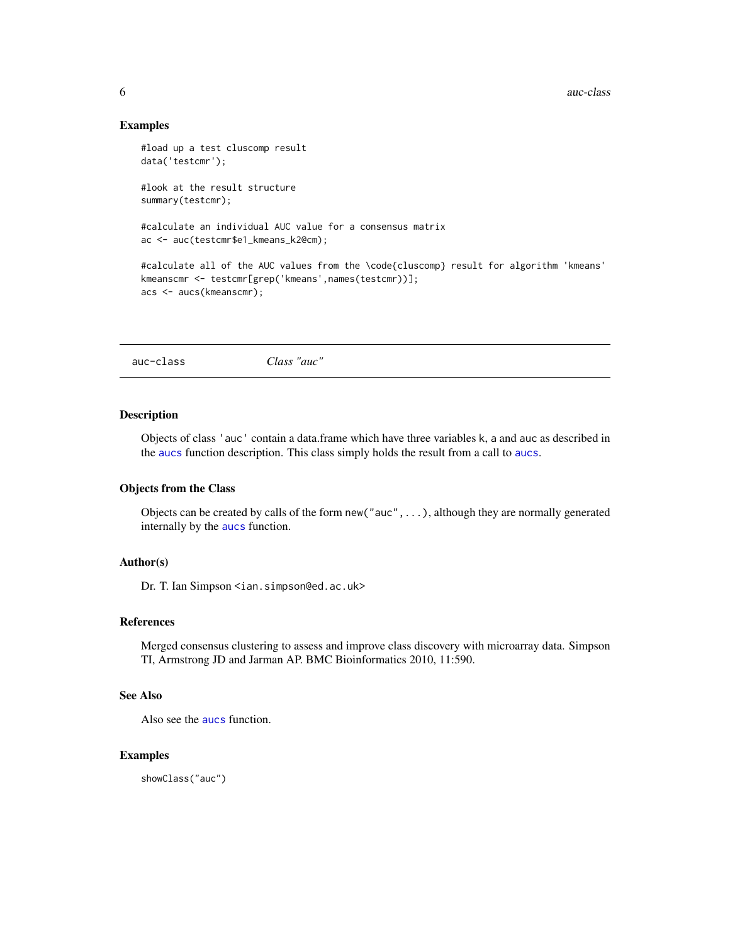<span id="page-5-0"></span>6 auc-class and  $\alpha$  auc-class and  $\alpha$  auc-class and  $\alpha$  auc-class and  $\alpha$  auc-class and  $\alpha$ 

# Examples

```
#load up a test cluscomp result
data('testcmr');
#look at the result structure
summary(testcmr);
#calculate an individual AUC value for a consensus matrix
ac <- auc(testcmr$e1_kmeans_k2@cm);
#calculate all of the AUC values from the \code{cluscomp} result for algorithm 'kmeans'
kmeanscmr <- testcmr[grep('kmeans',names(testcmr))];
acs <- aucs(kmeanscmr);
```
<span id="page-5-1"></span>auc-class *Class "auc"*

#### **Description**

Objects of class 'auc' contain a data.frame which have three variables k, a and auc as described in the [aucs](#page-4-1) function description. This class simply holds the result from a call to [aucs](#page-4-1).

# Objects from the Class

Objects can be created by calls of the form new("auc",...), although they are normally generated internally by the [aucs](#page-4-1) function.

# Author(s)

Dr. T. Ian Simpson <ian.simpson@ed.ac.uk>

# References

Merged consensus clustering to assess and improve class discovery with microarray data. Simpson TI, Armstrong JD and Jarman AP. BMC Bioinformatics 2010, 11:590.

# See Also

Also see the [aucs](#page-4-1) function.

#### Examples

showClass("auc")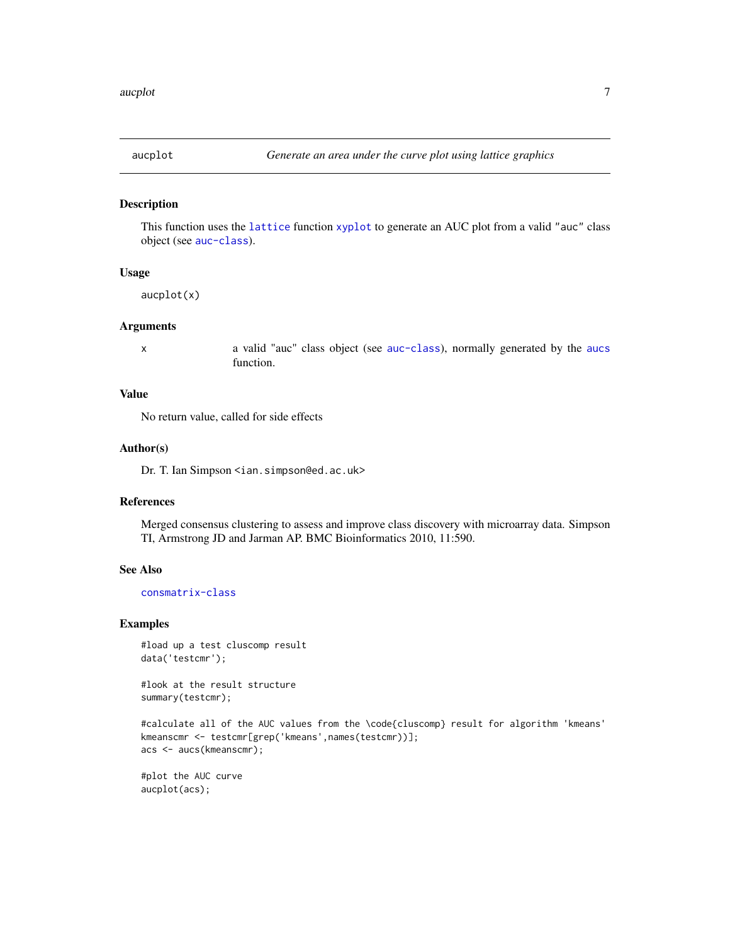<span id="page-6-0"></span>

This function uses the [lattice](#page-0-0) function [xyplot](#page-0-0) to generate an AUC plot from a valid "auc" class object (see [auc-class](#page-5-1)).

# Usage

aucplot(x)

# Arguments

x a valid "auc" class object (see [auc-class](#page-5-1)), normally generated by the [aucs](#page-4-1) function.

# Value

No return value, called for side effects

#### Author(s)

Dr. T. Ian Simpson <ian.simpson@ed.ac.uk>

# References

Merged consensus clustering to assess and improve class discovery with microarray data. Simpson TI, Armstrong JD and Jarman AP. BMC Bioinformatics 2010, 11:590.

# See Also

[consmatrix-class](#page-12-1)

# Examples

```
#load up a test cluscomp result
data('testcmr');
```
#look at the result structure summary(testcmr);

#calculate all of the AUC values from the \code{cluscomp} result for algorithm 'kmeans' kmeanscmr <- testcmr[grep('kmeans',names(testcmr))]; acs <- aucs(kmeanscmr);

#plot the AUC curve aucplot(acs);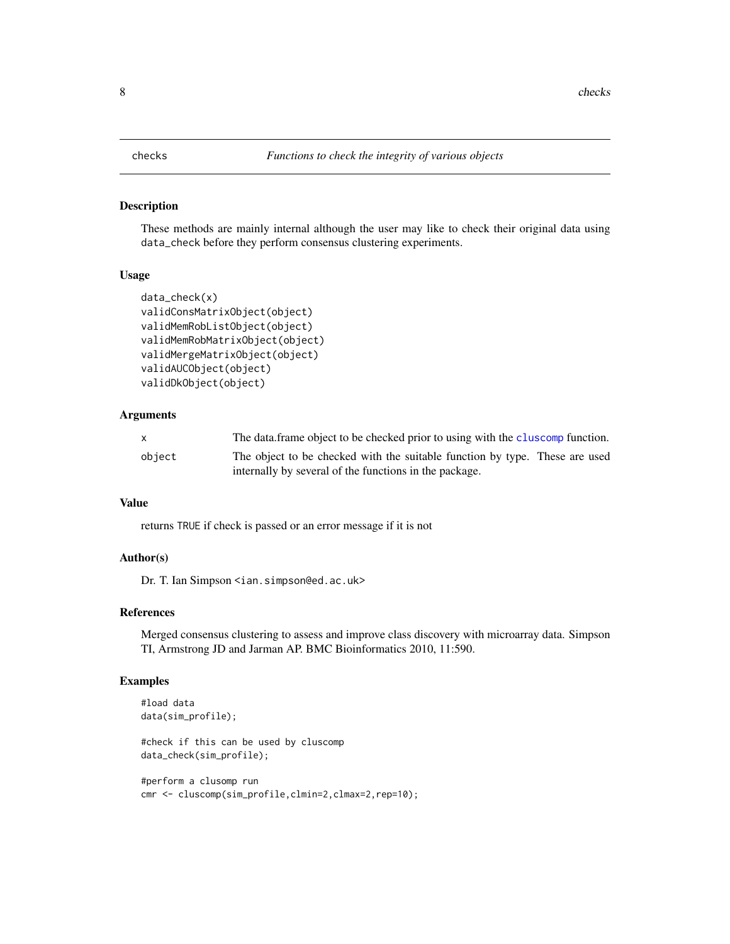<span id="page-7-1"></span><span id="page-7-0"></span>These methods are mainly internal although the user may like to check their original data using data\_check before they perform consensus clustering experiments.

# Usage

```
data_check(x)
validConsMatrixObject(object)
validMemRobListObject(object)
validMemRobMatrixObject(object)
validMergeMatrixObject(object)
validAUCObject(object)
validDkObject(object)
```
# Arguments

|        | The data frame object to be checked prior to using with the cluscomp function. |
|--------|--------------------------------------------------------------------------------|
| object | The object to be checked with the suitable function by type. These are used    |
|        | internally by several of the functions in the package.                         |

# Value

returns TRUE if check is passed or an error message if it is not

# Author(s)

Dr. T. Ian Simpson <ian.simpson@ed.ac.uk>

# References

Merged consensus clustering to assess and improve class discovery with microarray data. Simpson TI, Armstrong JD and Jarman AP. BMC Bioinformatics 2010, 11:590.

# Examples

```
#load data
data(sim_profile);
```
#check if this can be used by cluscomp data\_check(sim\_profile);

```
#perform a clusomp run
cmr <- cluscomp(sim_profile,clmin=2,clmax=2,rep=10);
```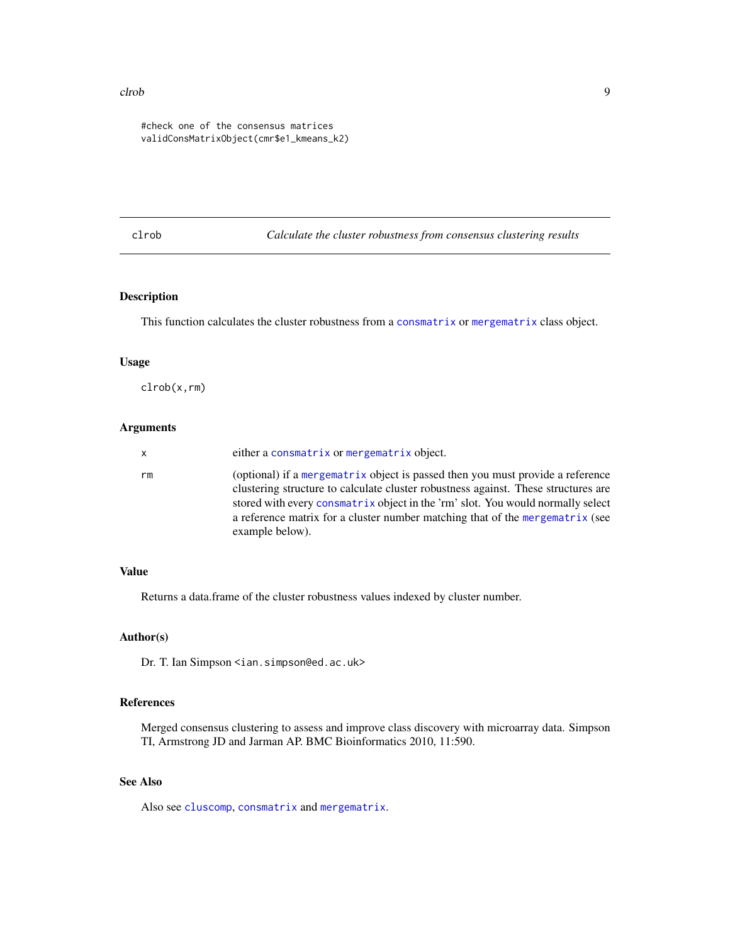#### <span id="page-8-0"></span>clrob 9

#check one of the consensus matrices validConsMatrixObject(cmr\$e1\_kmeans\_k2)

<span id="page-8-1"></span>clrob *Calculate the cluster robustness from consensus clustering results*

# Description

This function calculates the cluster robustness from a [consmatrix](#page-12-2) or [mergematrix](#page-23-1) class object.

# Usage

clrob(x,rm)

# Arguments

| x  | either a consmatrix or mergematrix object.                                                                                                                                                                                                                                                                                                                  |
|----|-------------------------------------------------------------------------------------------------------------------------------------------------------------------------------------------------------------------------------------------------------------------------------------------------------------------------------------------------------------|
| rm | (optional) if a mergematrix object is passed then you must provide a reference<br>clustering structure to calculate cluster robustness against. These structures are<br>stored with every consmatrix object in the 'rm' slot. You would normally select<br>a reference matrix for a cluster number matching that of the mergematrix (see<br>example below). |

# Value

Returns a data.frame of the cluster robustness values indexed by cluster number.

# Author(s)

Dr. T. Ian Simpson <ian.simpson@ed.ac.uk>

# References

Merged consensus clustering to assess and improve class discovery with microarray data. Simpson TI, Armstrong JD and Jarman AP. BMC Bioinformatics 2010, 11:590.

# See Also

Also see [cluscomp](#page-9-1), [consmatrix](#page-12-2) and [mergematrix](#page-23-1).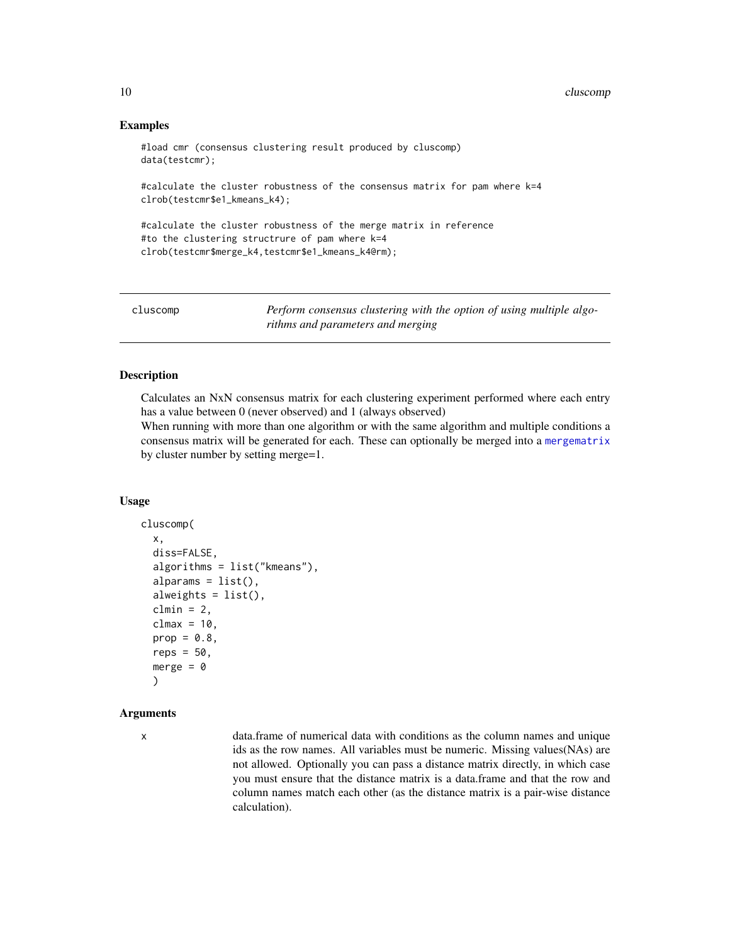# Examples

#load cmr (consensus clustering result produced by cluscomp) data(testcmr);

#calculate the cluster robustness of the consensus matrix for pam where k=4 clrob(testcmr\$e1\_kmeans\_k4);

#calculate the cluster robustness of the merge matrix in reference #to the clustering structrure of pam where k=4 clrob(testcmr\$merge\_k4,testcmr\$e1\_kmeans\_k4@rm);

<span id="page-9-1"></span>cluscomp *Perform consensus clustering with the option of using multiple algorithms and parameters and merging*

# **Description**

Calculates an NxN consensus matrix for each clustering experiment performed where each entry has a value between 0 (never observed) and 1 (always observed)

When running with more than one algorithm or with the same algorithm and multiple conditions a consensus matrix will be generated for each. These can optionally be merged into a [mergematrix](#page-23-1) by cluster number by setting merge=1.

#### Usage

```
cluscomp(
  x,
  diss=FALSE,
  algorithms = list("kmeans"),
  alparams = list(),
  alweights = list(),
  clmin = 2,
  clmax = 10,
  prop = 0.8,
  reps = 50,
  merge = \theta\lambda
```
#### Arguments

x data.frame of numerical data with conditions as the column names and unique ids as the row names. All variables must be numeric. Missing values(NAs) are not allowed. Optionally you can pass a distance matrix directly, in which case you must ensure that the distance matrix is a data.frame and that the row and column names match each other (as the distance matrix is a pair-wise distance calculation).

<span id="page-9-0"></span>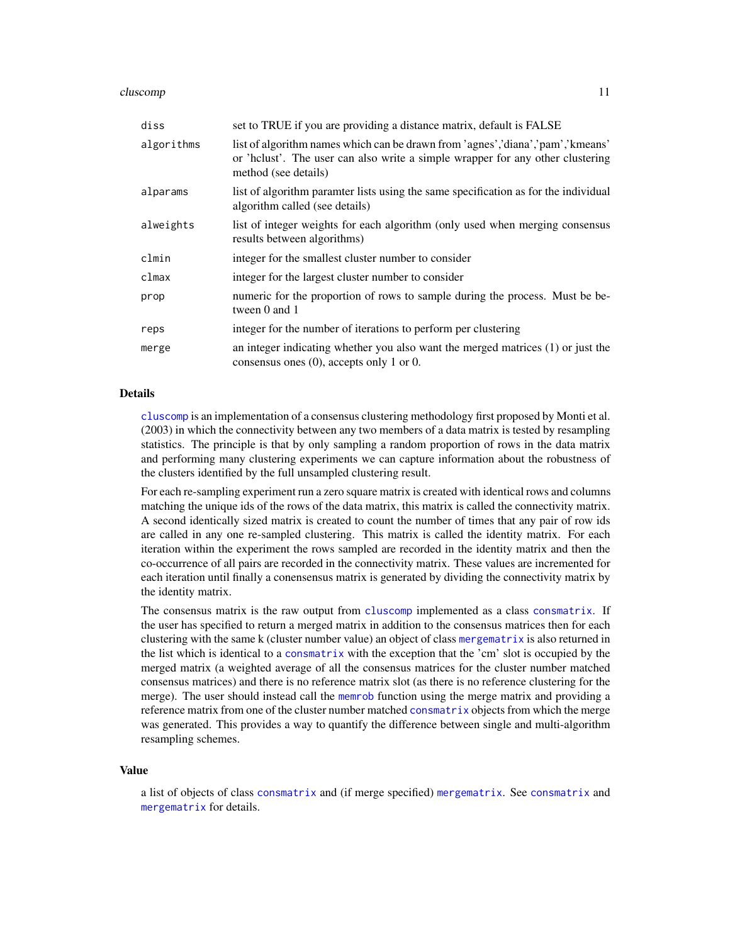#### <span id="page-10-0"></span>cluscomp and the contract of the contract of the contract of the contract of the contract of the contract of the contract of the contract of the contract of the contract of the contract of the contract of the contract of t

| diss       | set to TRUE if you are providing a distance matrix, default is FALSE                                                                                                                     |
|------------|------------------------------------------------------------------------------------------------------------------------------------------------------------------------------------------|
| algorithms | list of algorithm names which can be drawn from 'agnes','diana','pam','kmeans'<br>or 'hclust'. The user can also write a simple wrapper for any other clustering<br>method (see details) |
| alparams   | list of algorithm paramter lists using the same specification as for the individual<br>algorithm called (see details)                                                                    |
| alweights  | list of integer weights for each algorithm (only used when merging consensus<br>results between algorithms)                                                                              |
| clmin      | integer for the smallest cluster number to consider                                                                                                                                      |
| clmax      | integer for the largest cluster number to consider                                                                                                                                       |
| prop       | numeric for the proportion of rows to sample during the process. Must be be-<br>tween 0 and 1                                                                                            |
| reps       | integer for the number of iterations to perform per clustering                                                                                                                           |
| merge      | an integer indicating whether you also want the merged matrices $(1)$ or just the<br>consensus ones $(0)$ , accepts only 1 or 0.                                                         |

# Details

[cluscomp](#page-9-1) is an implementation of a consensus clustering methodology first proposed by Monti et al. (2003) in which the connectivity between any two members of a data matrix is tested by resampling statistics. The principle is that by only sampling a random proportion of rows in the data matrix and performing many clustering experiments we can capture information about the robustness of the clusters identified by the full unsampled clustering result.

For each re-sampling experiment run a zero square matrix is created with identical rows and columns matching the unique ids of the rows of the data matrix, this matrix is called the connectivity matrix. A second identically sized matrix is created to count the number of times that any pair of row ids are called in any one re-sampled clustering. This matrix is called the identity matrix. For each iteration within the experiment the rows sampled are recorded in the identity matrix and then the co-occurrence of all pairs are recorded in the connectivity matrix. These values are incremented for each iteration until finally a conensensus matrix is generated by dividing the connectivity matrix by the identity matrix.

The consensus matrix is the raw output from [cluscomp](#page-9-1) implemented as a class [consmatrix](#page-12-2). If the user has specified to return a merged matrix in addition to the consensus matrices then for each clustering with the same k (cluster number value) an object of class [mergematrix](#page-23-1) is also returned in the list which is identical to a [consmatrix](#page-12-2) with the exception that the 'cm' slot is occupied by the merged matrix (a weighted average of all the consensus matrices for the cluster number matched consensus matrices) and there is no reference matrix slot (as there is no reference clustering for the merge). The user should instead call the [memrob](#page-20-1) function using the merge matrix and providing a reference matrix from one of the cluster number matched [consmatrix](#page-12-2) objects from which the merge was generated. This provides a way to quantify the difference between single and multi-algorithm resampling schemes.

#### Value

a list of objects of class [consmatrix](#page-12-2) and (if merge specified) [mergematrix](#page-23-1). See [consmatrix](#page-12-2) and [mergematrix](#page-23-1) for details.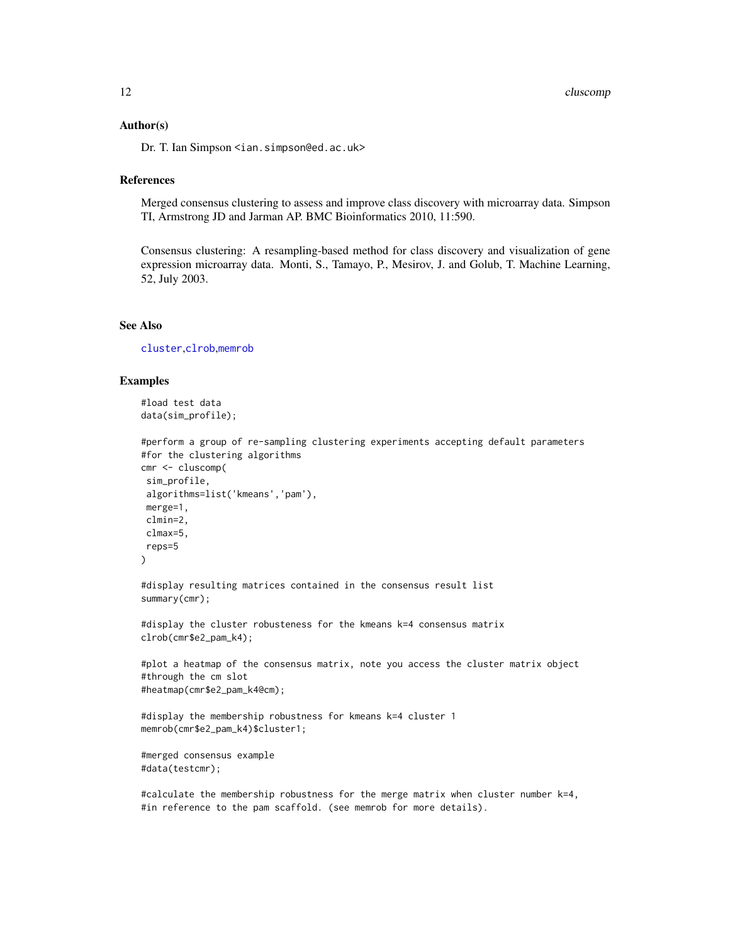#### <span id="page-11-0"></span>Author(s)

Dr. T. Ian Simpson <ian.simpson@ed.ac.uk>

# References

Merged consensus clustering to assess and improve class discovery with microarray data. Simpson TI, Armstrong JD and Jarman AP. BMC Bioinformatics 2010, 11:590.

Consensus clustering: A resampling-based method for class discovery and visualization of gene expression microarray data. Monti, S., Tamayo, P., Mesirov, J. and Golub, T. Machine Learning, 52, July 2003.

# See Also

[cluster](#page-0-0),[clrob](#page-8-1),[memrob](#page-20-1)

# Examples

#load test data data(sim\_profile);

```
#perform a group of re-sampling clustering experiments accepting default parameters
#for the clustering algorithms
cmr <- cluscomp(
sim_profile,
algorithms=list('kmeans','pam'),
merge=1,
clmin=2,
clmax=5,
reps=5
)
#display resulting matrices contained in the consensus result list
summary(cmr);
```
#display the cluster robusteness for the kmeans k=4 consensus matrix clrob(cmr\$e2\_pam\_k4);

```
#plot a heatmap of the consensus matrix, note you access the cluster matrix object
#through the cm slot
#heatmap(cmr$e2_pam_k4@cm);
```

```
#display the membership robustness for kmeans k=4 cluster 1
memrob(cmr$e2_pam_k4)$cluster1;
```

```
#merged consensus example
#data(testcmr);
```
#calculate the membership robustness for the merge matrix when cluster number k=4, #in reference to the pam scaffold. (see memrob for more details).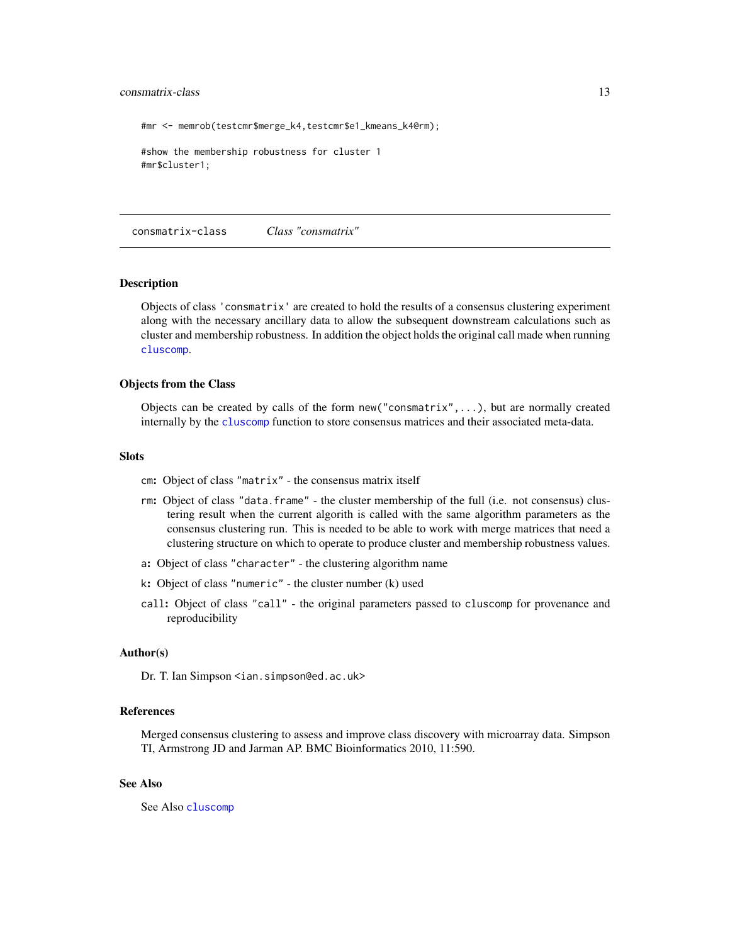#### <span id="page-12-0"></span>consmatrix-class 13

#mr <- memrob(testcmr\$merge\_k4,testcmr\$e1\_kmeans\_k4@rm);

```
#show the membership robustness for cluster 1
#mr$cluster1;
```
<span id="page-12-1"></span>consmatrix-class *Class "consmatrix"*

# <span id="page-12-2"></span>**Description**

Objects of class 'consmatrix' are created to hold the results of a consensus clustering experiment along with the necessary ancillary data to allow the subsequent downstream calculations such as cluster and membership robustness. In addition the object holds the original call made when running [cluscomp](#page-9-1).

# Objects from the Class

Objects can be created by calls of the form new ("consmatrix",...), but are normally created internally by the [cluscomp](#page-9-1) function to store consensus matrices and their associated meta-data.

#### **Slots**

- cm: Object of class "matrix" the consensus matrix itself
- rm: Object of class "data.frame" the cluster membership of the full (i.e. not consensus) clustering result when the current algorith is called with the same algorithm parameters as the consensus clustering run. This is needed to be able to work with merge matrices that need a clustering structure on which to operate to produce cluster and membership robustness values.
- a: Object of class "character" the clustering algorithm name
- k: Object of class "numeric" the cluster number (k) used
- call: Object of class "call" the original parameters passed to cluscomp for provenance and reproducibility

#### Author(s)

Dr. T. Ian Simpson <ian.simpson@ed.ac.uk>

#### References

Merged consensus clustering to assess and improve class discovery with microarray data. Simpson TI, Armstrong JD and Jarman AP. BMC Bioinformatics 2010, 11:590.

# See Also

See Also [cluscomp](#page-9-1)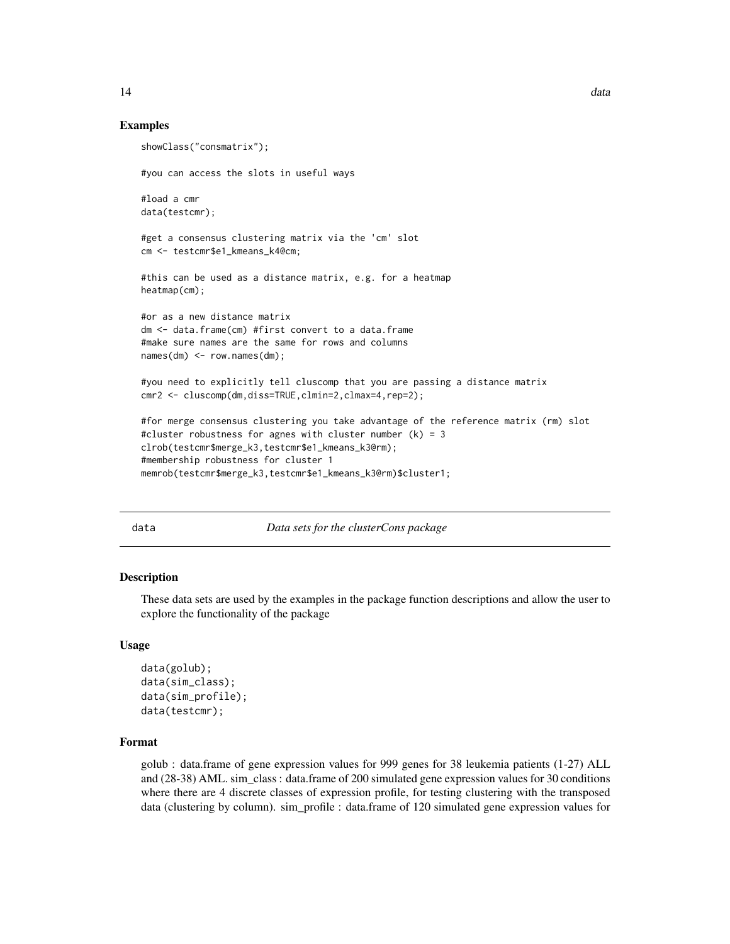# Examples

```
showClass("consmatrix");
#you can access the slots in useful ways
#load a cmr
data(testcmr);
#get a consensus clustering matrix via the 'cm' slot
cm <- testcmr$e1_kmeans_k4@cm;
#this can be used as a distance matrix, e.g. for a heatmap
heatmap(cm);
#or as a new distance matrix
dm <- data.frame(cm) #first convert to a data.frame
#make sure names are the same for rows and columns
names(dm) <- row.names(dm);
#you need to explicitly tell cluscomp that you are passing a distance matrix
cmr2 <- cluscomp(dm,diss=TRUE,clmin=2,clmax=4,rep=2);
#for merge consensus clustering you take advantage of the reference matrix (rm) slot
#cluster robustness for agnes with cluster number (k) = 3
clrob(testcmr$merge_k3,testcmr$e1_kmeans_k3@rm);
#membership robustness for cluster 1
memrob(testcmr$merge_k3,testcmr$e1_kmeans_k3@rm)$cluster1;
```
data *Data sets for the clusterCons package*

# **Description**

These data sets are used by the examples in the package function descriptions and allow the user to explore the functionality of the package

#### Usage

```
data(golub);
data(sim_class);
data(sim_profile);
data(testcmr);
```
#### Format

golub : data.frame of gene expression values for 999 genes for 38 leukemia patients (1-27) ALL and (28-38) AML. sim\_class : data.frame of 200 simulated gene expression values for 30 conditions where there are 4 discrete classes of expression profile, for testing clustering with the transposed data (clustering by column). sim\_profile : data.frame of 120 simulated gene expression values for

<span id="page-13-0"></span>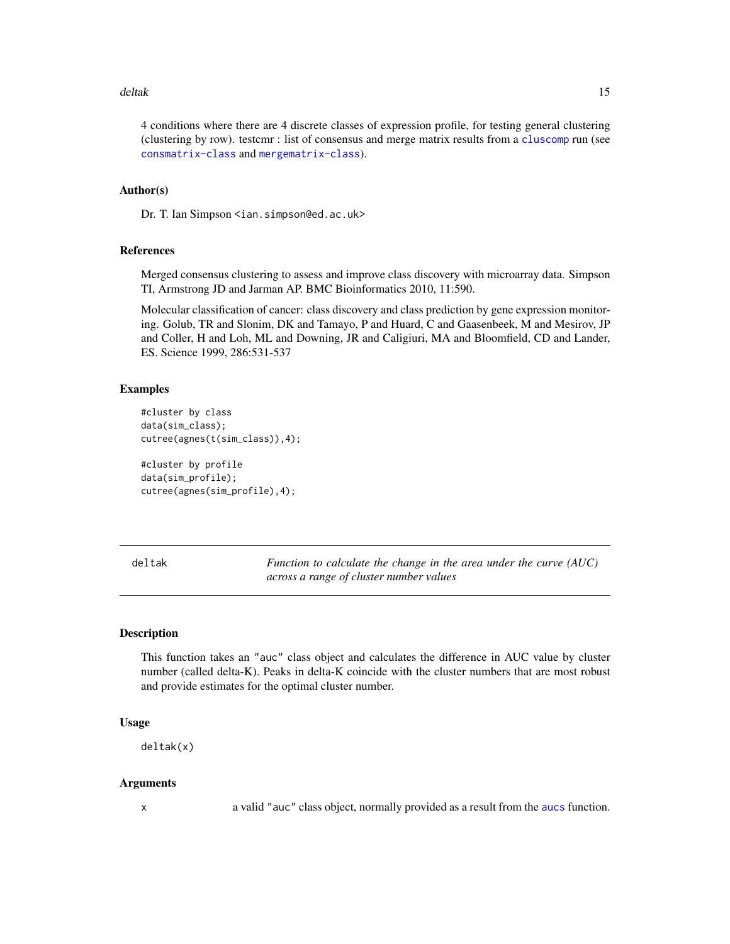#### <span id="page-14-0"></span>deltak 15

4 conditions where there are 4 discrete classes of expression profile, for testing general clustering (clustering by row). testcmr : list of consensus and merge matrix results from a [cluscomp](#page-9-1) run (see [consmatrix-class](#page-12-1) and [mergematrix-class](#page-23-2)).

# Author(s)

Dr. T. Ian Simpson <ian.simpson@ed.ac.uk>

#### References

Merged consensus clustering to assess and improve class discovery with microarray data. Simpson TI, Armstrong JD and Jarman AP. BMC Bioinformatics 2010, 11:590.

Molecular classification of cancer: class discovery and class prediction by gene expression monitoring. Golub, TR and Slonim, DK and Tamayo, P and Huard, C and Gaasenbeek, M and Mesirov, JP and Coller, H and Loh, ML and Downing, JR and Caligiuri, MA and Bloomfield, CD and Lander, ES. Science 1999, 286:531-537

# Examples

```
#cluster by class
data(sim_class);
cutree(agnes(t(sim_class)),4);
#cluster by profile
data(sim_profile);
cutree(agnes(sim_profile),4);
```
<span id="page-14-1"></span>deltak *Function to calculate the change in the area under the curve (AUC) across a range of cluster number values*

# Description

This function takes an "auc" class object and calculates the difference in AUC value by cluster number (called delta-K). Peaks in delta-K coincide with the cluster numbers that are most robust and provide estimates for the optimal cluster number.

#### Usage

deltak(x)

#### Arguments

x a valid "auc" class object, normally provided as a result from the [aucs](#page-4-1) function.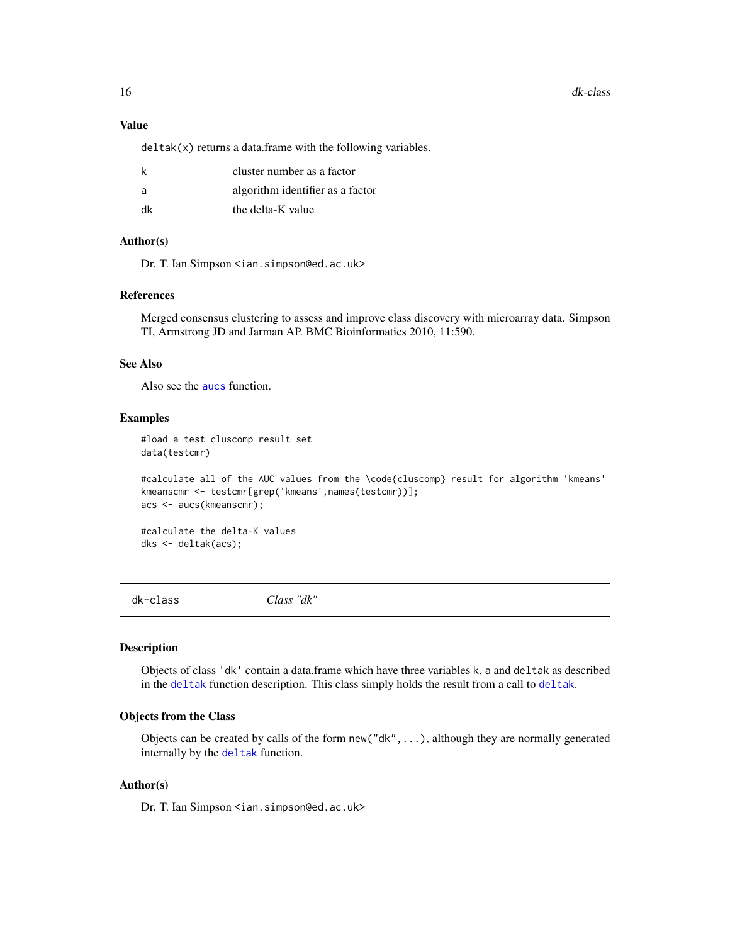#### <span id="page-15-0"></span>16 dk-class

# Value

 $delta(x)$  returns a data.frame with the following variables.

| k  | cluster number as a factor       |
|----|----------------------------------|
| a  | algorithm identifier as a factor |
| dk | the delta-K value                |

# Author(s)

Dr. T. Ian Simpson <ian.simpson@ed.ac.uk>

#### References

Merged consensus clustering to assess and improve class discovery with microarray data. Simpson TI, Armstrong JD and Jarman AP. BMC Bioinformatics 2010, 11:590.

# See Also

Also see the [aucs](#page-4-1) function.

#### Examples

#load a test cluscomp result set data(testcmr)

#calculate all of the AUC values from the \code{cluscomp} result for algorithm 'kmeans' kmeanscmr <- testcmr[grep('kmeans',names(testcmr))]; acs <- aucs(kmeanscmr);

#calculate the delta-K values dks <- deltak(acs);

<span id="page-15-1"></span>

dk-class *Class "dk"*

# **Description**

Objects of class 'dk' contain a data.frame which have three variables k, a and deltak as described in the [deltak](#page-14-1) function description. This class simply holds the result from a call to deltak.

#### Objects from the Class

Objects can be created by calls of the form new("dk",...), although they are normally generated internally by the [deltak](#page-14-1) function.

# Author(s)

Dr. T. Ian Simpson <ian.simpson@ed.ac.uk>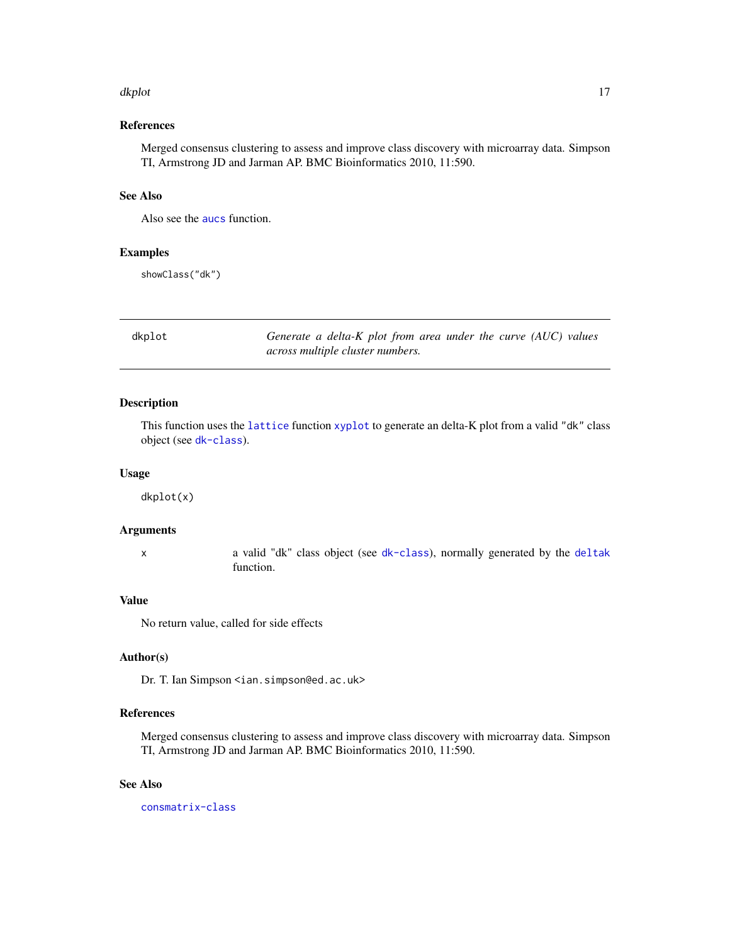#### <span id="page-16-0"></span>dkplot that the contract of the contract of the contract of the contract of the contract of the contract of the contract of the contract of the contract of the contract of the contract of the contract of the contract of th

# References

Merged consensus clustering to assess and improve class discovery with microarray data. Simpson TI, Armstrong JD and Jarman AP. BMC Bioinformatics 2010, 11:590.

# See Also

Also see the [aucs](#page-4-1) function.

#### Examples

showClass("dk")

dkplot *Generate a delta-K plot from area under the curve (AUC) values across multiple cluster numbers.*

# Description

This function uses the [lattice](#page-0-0) function [xyplot](#page-0-0) to generate an delta-K plot from a valid "dk" class object (see [dk-class](#page-15-1)).

#### Usage

dkplot(x)

# Arguments

x a valid "dk" class object (see [dk-class](#page-15-1)), normally generated by the [deltak](#page-14-1) function.

# Value

No return value, called for side effects

# Author(s)

Dr. T. Ian Simpson <ian.simpson@ed.ac.uk>

# References

Merged consensus clustering to assess and improve class discovery with microarray data. Simpson TI, Armstrong JD and Jarman AP. BMC Bioinformatics 2010, 11:590.

# See Also

[consmatrix-class](#page-12-1)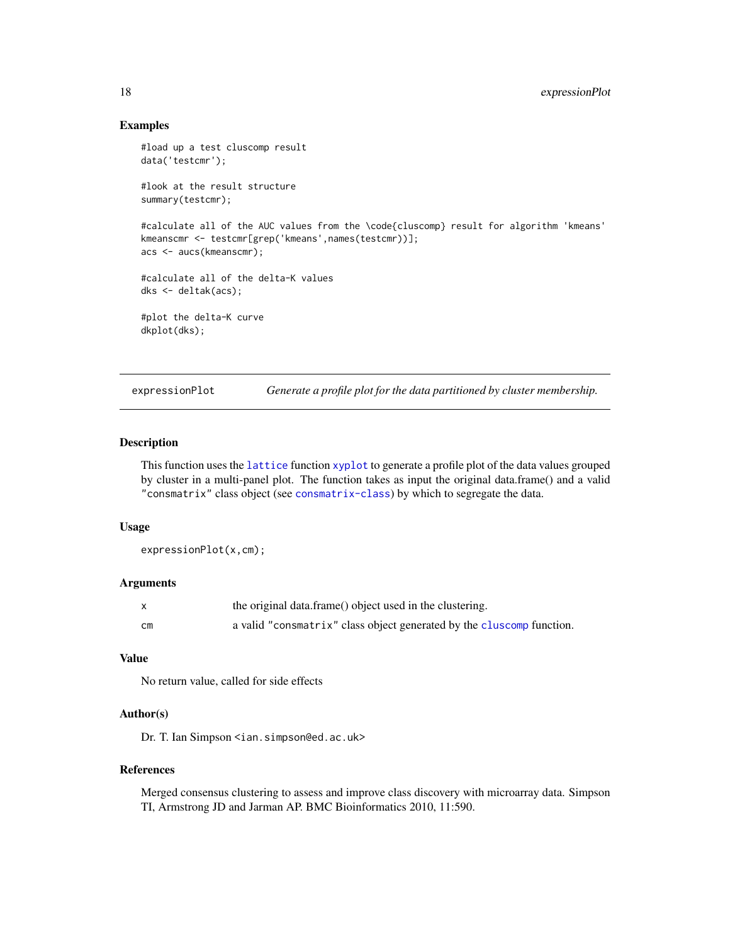# <span id="page-17-0"></span>Examples

```
#load up a test cluscomp result
data('testcmr');
#look at the result structure
summary(testcmr);
#calculate all of the AUC values from the \code{cluscomp} result for algorithm 'kmeans'
kmeanscmr <- testcmr[grep('kmeans',names(testcmr))];
acs <- aucs(kmeanscmr);
#calculate all of the delta-K values
dks <- deltak(acs);
#plot the delta-K curve
dkplot(dks);
```
expressionPlot *Generate a profile plot for the data partitioned by cluster membership.*

# Description

This function uses the [lattice](#page-0-0) function [xyplot](#page-0-0) to generate a profile plot of the data values grouped by cluster in a multi-panel plot. The function takes as input the original data.frame() and a valid "consmatrix" class object (see [consmatrix-class](#page-12-1)) by which to segregate the data.

# Usage

expressionPlot(x,cm);

# Arguments

|    | the original data.frame() object used in the clustering.              |
|----|-----------------------------------------------------------------------|
| сm | a valid "consmatrix" class object generated by the cluscomp function. |

# Value

No return value, called for side effects

# Author(s)

Dr. T. Ian Simpson <ian.simpson@ed.ac.uk>

#### References

Merged consensus clustering to assess and improve class discovery with microarray data. Simpson TI, Armstrong JD and Jarman AP. BMC Bioinformatics 2010, 11:590.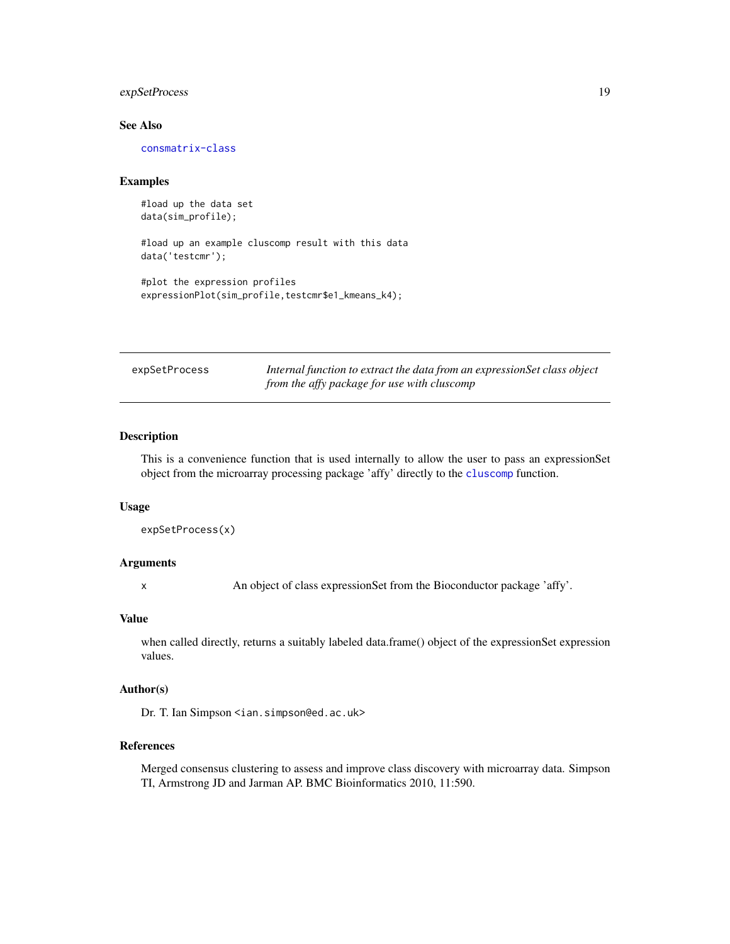# <span id="page-18-0"></span>expSetProcess 19

# See Also

[consmatrix-class](#page-12-1)

#### Examples

#load up the data set data(sim\_profile);

#load up an example cluscomp result with this data data('testcmr');

#plot the expression profiles expressionPlot(sim\_profile,testcmr\$e1\_kmeans\_k4);

| expSetProcess | Internal function to extract the data from an expression Set class object |
|---------------|---------------------------------------------------------------------------|
|               | from the affy package for use with cluscomp                               |

# Description

This is a convenience function that is used internally to allow the user to pass an expressionSet object from the microarray processing package 'affy' directly to the [cluscomp](#page-9-1) function.

#### Usage

```
expSetProcess(x)
```
# Arguments

x An object of class expressionSet from the Bioconductor package 'affy'.

# Value

when called directly, returns a suitably labeled data.frame() object of the expressionSet expression values.

# Author(s)

Dr. T. Ian Simpson <ian.simpson@ed.ac.uk>

# References

Merged consensus clustering to assess and improve class discovery with microarray data. Simpson TI, Armstrong JD and Jarman AP. BMC Bioinformatics 2010, 11:590.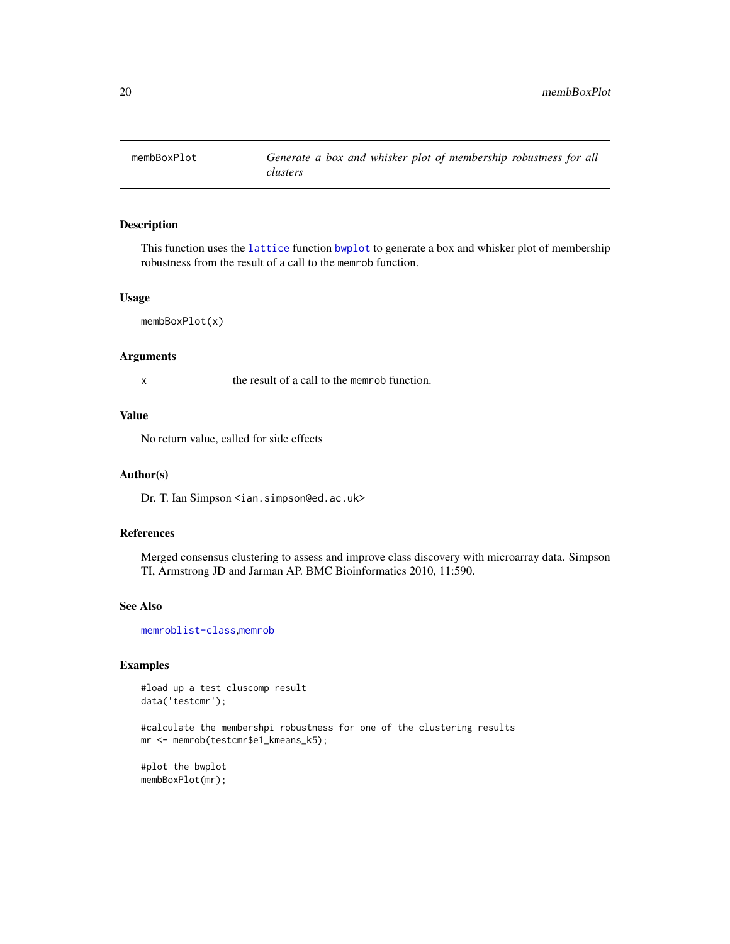<span id="page-19-0"></span>

This function uses the [lattice](#page-0-0) function [bwplot](#page-0-0) to generate a box and whisker plot of membership robustness from the result of a call to the memrob function.

#### Usage

membBoxPlot(x)

# Arguments

x the result of a call to the memrob function.

# Value

No return value, called for side effects

#### Author(s)

Dr. T. Ian Simpson <ian.simpson@ed.ac.uk>

# References

Merged consensus clustering to assess and improve class discovery with microarray data. Simpson TI, Armstrong JD and Jarman AP. BMC Bioinformatics 2010, 11:590.

# See Also

[memroblist-class](#page-21-1),[memrob](#page-20-1)

# Examples

#load up a test cluscomp result data('testcmr');

#calculate the membershpi robustness for one of the clustering results mr <- memrob(testcmr\$e1\_kmeans\_k5);

#plot the bwplot membBoxPlot(mr);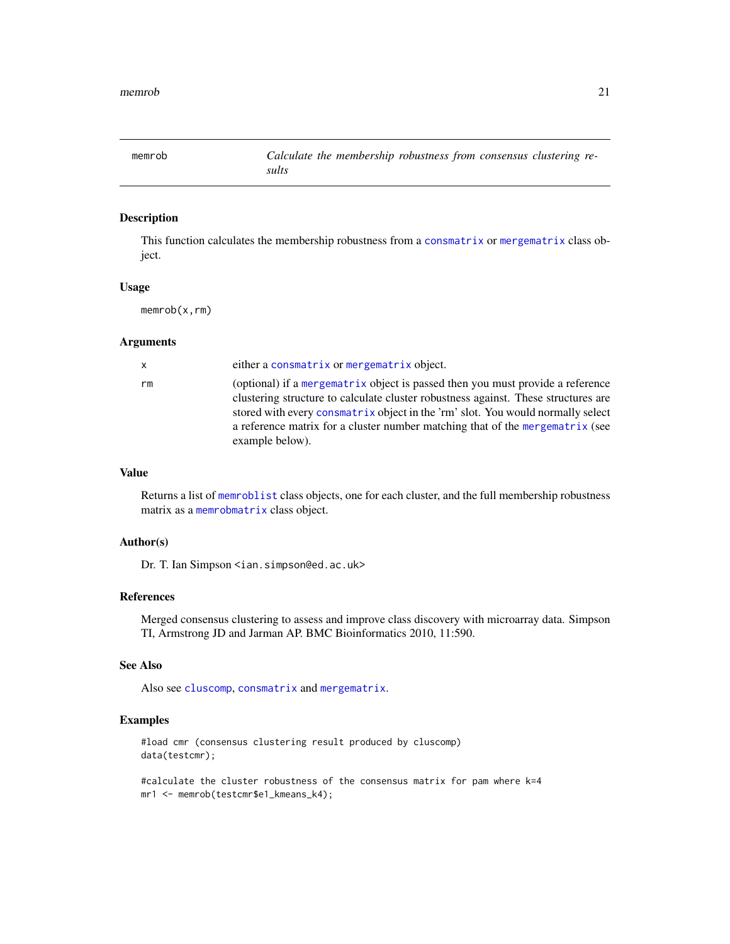<span id="page-20-1"></span><span id="page-20-0"></span>

This function calculates the membership robustness from a [consmatrix](#page-12-2) or [mergematrix](#page-23-1) class object.

# Usage

memrob(x,rm)

#### Arguments

| x  | either a consmatrix or mergematrix object.                                                                                                                                                                                                                                                                                                                  |
|----|-------------------------------------------------------------------------------------------------------------------------------------------------------------------------------------------------------------------------------------------------------------------------------------------------------------------------------------------------------------|
| rm | (optional) if a mergematrix object is passed then you must provide a reference<br>clustering structure to calculate cluster robustness against. These structures are<br>stored with every consmatrix object in the 'rm' slot. You would normally select<br>a reference matrix for a cluster number matching that of the mergematrix (see<br>example below). |

# Value

Returns a list of [memroblist](#page-21-2) class objects, one for each cluster, and the full membership robustness matrix as a [memrobmatrix](#page-22-1) class object.

#### Author(s)

Dr. T. Ian Simpson <ian.simpson@ed.ac.uk>

#### References

Merged consensus clustering to assess and improve class discovery with microarray data. Simpson TI, Armstrong JD and Jarman AP. BMC Bioinformatics 2010, 11:590.

# See Also

Also see [cluscomp](#page-9-1), [consmatrix](#page-12-2) and [mergematrix](#page-23-1).

# Examples

#load cmr (consensus clustering result produced by cluscomp) data(testcmr);

#calculate the cluster robustness of the consensus matrix for pam where k=4 mr1 <- memrob(testcmr\$e1\_kmeans\_k4);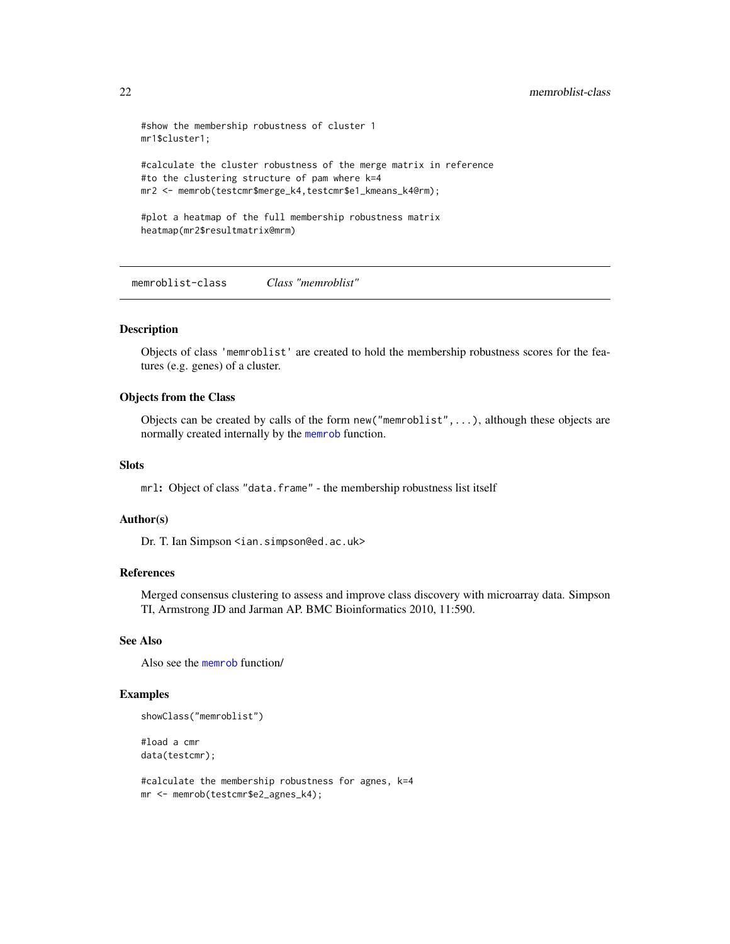```
#show the membership robustness of cluster 1
mr1$cluster1;
#calculate the cluster robustness of the merge matrix in reference
#to the clustering structure of pam where k=4
mr2 <- memrob(testcmr$merge_k4,testcmr$e1_kmeans_k4@rm);
#plot a heatmap of the full membership robustness matrix
heatmap(mr2$resultmatrix@mrm)
```
<span id="page-21-1"></span>memroblist-class *Class "memroblist"*

#### <span id="page-21-2"></span>Description

Objects of class 'memroblist' are created to hold the membership robustness scores for the features (e.g. genes) of a cluster.

# Objects from the Class

Objects can be created by calls of the form new("memroblist",...), although these objects are normally created internally by the [memrob](#page-20-1) function.

# Slots

mrl: Object of class "data.frame" - the membership robustness list itself

#### Author(s)

Dr. T. Ian Simpson <ian.simpson@ed.ac.uk>

#### References

Merged consensus clustering to assess and improve class discovery with microarray data. Simpson TI, Armstrong JD and Jarman AP. BMC Bioinformatics 2010, 11:590.

#### See Also

Also see the [memrob](#page-20-1) function/

# Examples

```
showClass("memroblist")
```
#load a cmr data(testcmr);

#calculate the membership robustness for agnes, k=4 mr <- memrob(testcmr\$e2\_agnes\_k4);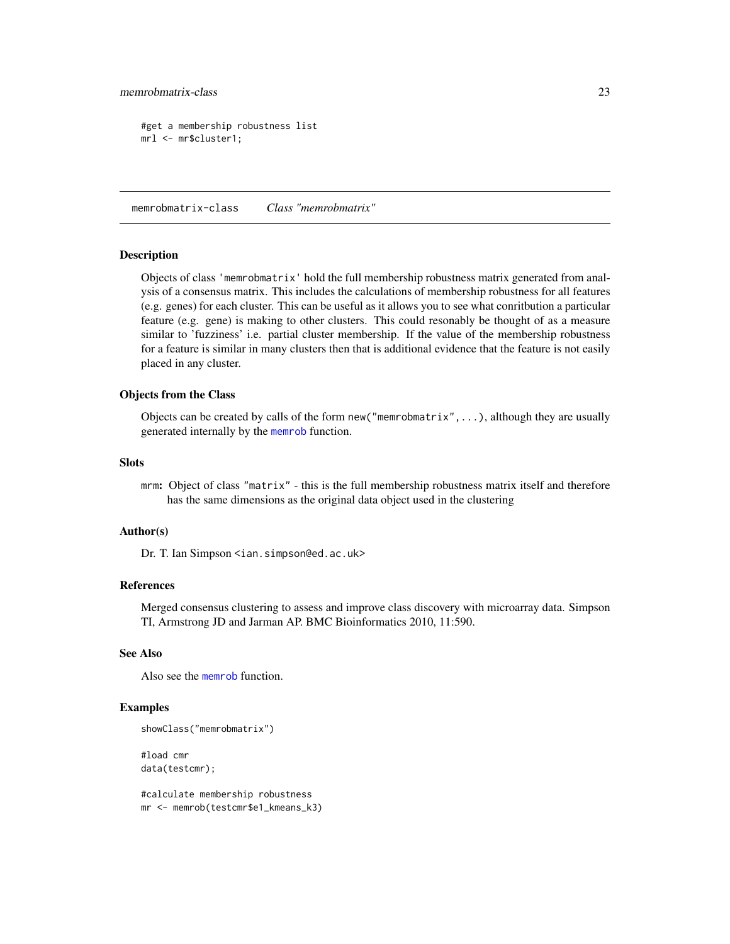# <span id="page-22-0"></span>memrobmatrix-class 23

```
#get a membership robustness list
mrl <- mr$cluster1;
```
memrobmatrix-class *Class "memrobmatrix"*

#### <span id="page-22-1"></span>Description

Objects of class 'memrobmatrix' hold the full membership robustness matrix generated from analysis of a consensus matrix. This includes the calculations of membership robustness for all features (e.g. genes) for each cluster. This can be useful as it allows you to see what conritbution a particular feature (e.g. gene) is making to other clusters. This could resonably be thought of as a measure similar to 'fuzziness' i.e. partial cluster membership. If the value of the membership robustness for a feature is similar in many clusters then that is additional evidence that the feature is not easily placed in any cluster.

# Objects from the Class

Objects can be created by calls of the form  $new("memrobmatrix", \ldots)$ , although they are usually generated internally by the [memrob](#page-20-1) function.

#### **Slots**

mrm: Object of class "matrix" - this is the full membership robustness matrix itself and therefore has the same dimensions as the original data object used in the clustering

# Author(s)

Dr. T. Ian Simpson <ian.simpson@ed.ac.uk>

#### References

Merged consensus clustering to assess and improve class discovery with microarray data. Simpson TI, Armstrong JD and Jarman AP. BMC Bioinformatics 2010, 11:590.

# See Also

Also see the [memrob](#page-20-1) function.

# Examples

```
showClass("memrobmatrix")
```
#load cmr data(testcmr);

#calculate membership robustness mr <- memrob(testcmr\$e1\_kmeans\_k3)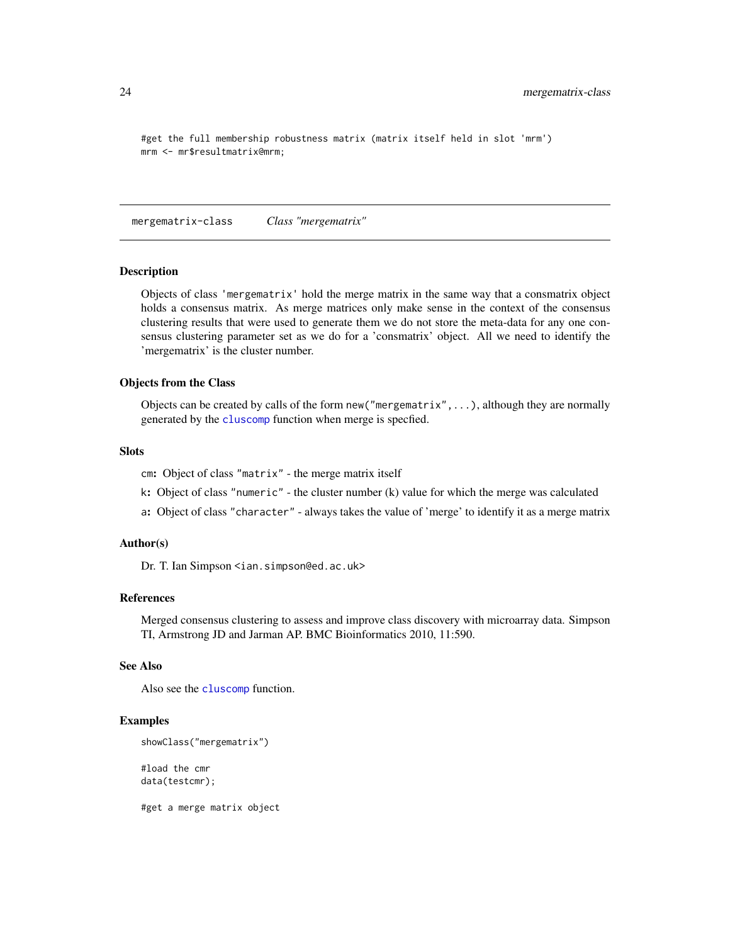```
#get the full membership robustness matrix (matrix itself held in slot 'mrm')
mrm <- mr$resultmatrix@mrm;
```
<span id="page-23-2"></span>mergematrix-class *Class "mergematrix"*

#### <span id="page-23-1"></span>**Description**

Objects of class 'mergematrix' hold the merge matrix in the same way that a consmatrix object holds a consensus matrix. As merge matrices only make sense in the context of the consensus clustering results that were used to generate them we do not store the meta-data for any one consensus clustering parameter set as we do for a 'consmatrix' object. All we need to identify the 'mergematrix' is the cluster number.

#### Objects from the Class

Objects can be created by calls of the form new ("mergematrix", ...), although they are normally generated by the [cluscomp](#page-9-1) function when merge is specfied.

# **Slots**

cm: Object of class "matrix" - the merge matrix itself

- k: Object of class "numeric" the cluster number (k) value for which the merge was calculated
- a: Object of class "character" always takes the value of 'merge' to identify it as a merge matrix

#### Author(s)

Dr. T. Ian Simpson <ian.simpson@ed.ac.uk>

# References

Merged consensus clustering to assess and improve class discovery with microarray data. Simpson TI, Armstrong JD and Jarman AP. BMC Bioinformatics 2010, 11:590.

# See Also

Also see the [cluscomp](#page-9-1) function.

#### Examples

```
showClass("mergematrix")
#load the cmr
```
data(testcmr);

#get a merge matrix object

<span id="page-23-0"></span>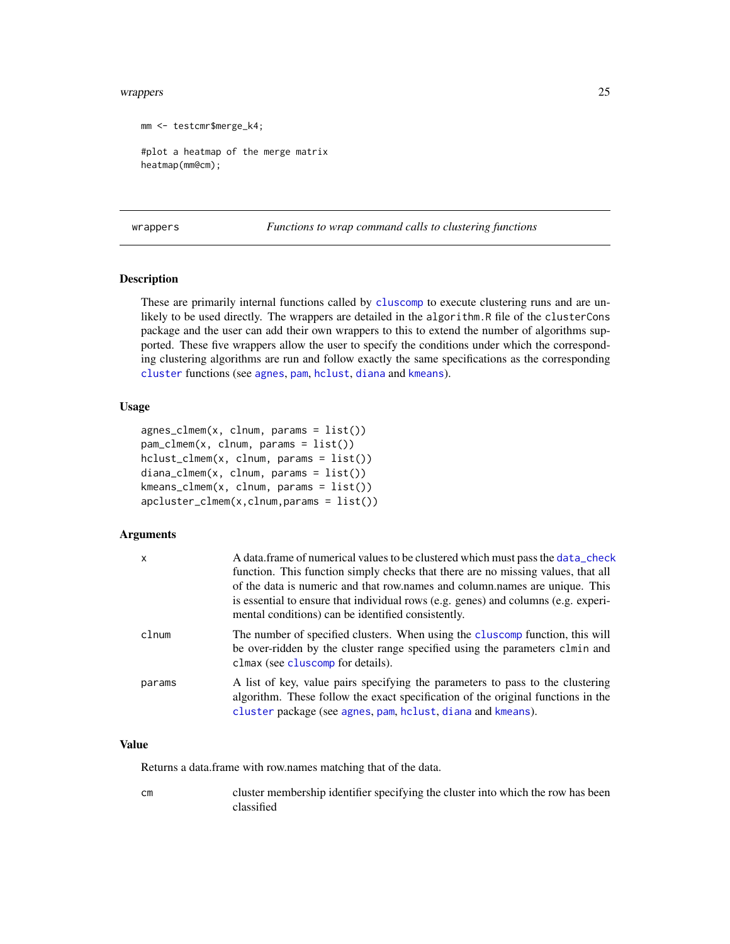#### <span id="page-24-0"></span>wrappers 25

```
mm <- testcmr$merge_k4;
#plot a heatmap of the merge matrix
heatmap(mm@cm);
```
wrappers *Functions to wrap command calls to clustering functions*

# Description

These are primarily internal functions called by [cluscomp](#page-9-1) to execute clustering runs and are unlikely to be used directly. The wrappers are detailed in the algorithm.R file of the clusterCons package and the user can add their own wrappers to this to extend the number of algorithms supported. These five wrappers allow the user to specify the conditions under which the corresponding clustering algorithms are run and follow exactly the same specifications as the corresponding [cluster](#page-0-0) functions (see [agnes](#page-0-0), [pam](#page-0-0), [hclust](#page-0-0), [diana](#page-0-0) and [kmeans](#page-0-0)).

# Usage

```
agnes_clmem(x, clnum, params = list())
pam_clmem(x, clnum, params = list())
hclust_clmem(x, clnum, params = list())
diana_clmem(x, clnum, params = list())
kmeans_clmem(x, clnum, params = list())
apcluster_c1mem(x,clnum,params = list())
```
# Arguments

| $\mathsf{x}$ | A data frame of numerical values to be clustered which must pass the data check<br>function. This function simply checks that there are no missing values, that all<br>of the data is numeric and that row names and column names are unique. This<br>is essential to ensure that individual rows (e.g. genes) and columns (e.g. experi-<br>mental conditions) can be identified consistently. |
|--------------|------------------------------------------------------------------------------------------------------------------------------------------------------------------------------------------------------------------------------------------------------------------------------------------------------------------------------------------------------------------------------------------------|
| clnum        | The number of specified clusters. When using the cluscomp function, this will<br>be over-ridden by the cluster range specified using the parameters clmin and<br>clmax (see cluscomp for details).                                                                                                                                                                                             |
| params       | A list of key, value pairs specifying the parameters to pass to the clustering<br>algorithm. These follow the exact specification of the original functions in the<br>cluster package (see agnes, pam, hclust, diana and kmeans).                                                                                                                                                              |

# Value

Returns a data.frame with row.names matching that of the data.

cm cluster membership identifier specifying the cluster into which the row has been classified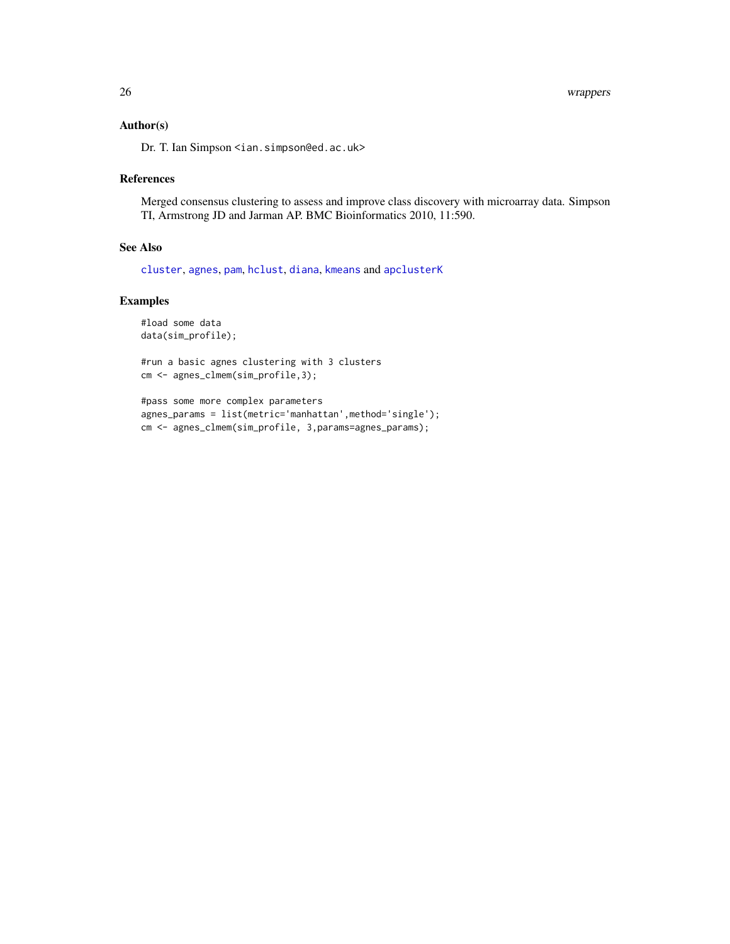# <span id="page-25-0"></span>Author(s)

Dr. T. Ian Simpson <ian.simpson@ed.ac.uk>

# References

Merged consensus clustering to assess and improve class discovery with microarray data. Simpson TI, Armstrong JD and Jarman AP. BMC Bioinformatics 2010, 11:590.

# See Also

[cluster](#page-0-0), [agnes](#page-0-0), [pam](#page-0-0), [hclust](#page-0-0), [diana](#page-0-0), [kmeans](#page-0-0) and [apclusterK](#page-0-0)

# Examples

```
#load some data
data(sim_profile);
```
#run a basic agnes clustering with 3 clusters cm <- agnes\_clmem(sim\_profile,3);

```
#pass some more complex parameters
agnes_params = list(metric='manhattan',method='single');
cm <- agnes_clmem(sim_profile, 3,params=agnes_params);
```